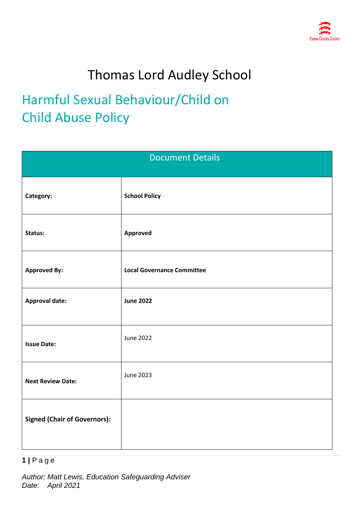

# Thomas Lord Audley School

# Harmful Sexual Behaviour/Child on Child Abuse Policy

| <b>Document Details</b>             |                                   |  |
|-------------------------------------|-----------------------------------|--|
| Category:                           | <b>School Policy</b>              |  |
| Status:                             | Approved                          |  |
| <b>Approved By:</b>                 | <b>Local Governance Committee</b> |  |
| <b>Approval date:</b>               | <b>June 2022</b>                  |  |
| <b>Issue Date:</b>                  | <b>June 2022</b>                  |  |
| <b>Next Review Date:</b>            | <b>June 2023</b>                  |  |
| <b>Signed (Chair of Governors):</b> |                                   |  |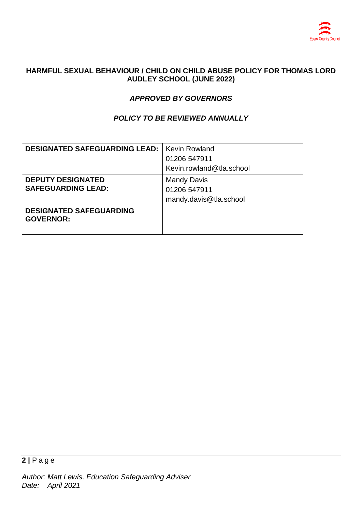

### **HARMFUL SEXUAL BEHAVIOUR / CHILD ON CHILD ABUSE POLICY FOR THOMAS LORD AUDLEY SCHOOL (JUNE 2022)**

# *APPROVED BY GOVERNORS*

## *POLICY TO BE REVIEWED ANNUALLY*

| <b>DESIGNATED SAFEGUARDING LEAD:</b>               | <b>Kevin Rowland</b>     |
|----------------------------------------------------|--------------------------|
|                                                    | 01206 547911             |
|                                                    | Kevin.rowland@tla.school |
| <b>DEPUTY DESIGNATED</b>                           | <b>Mandy Davis</b>       |
| <b>SAFEGUARDING LEAD:</b>                          | 01206 547911             |
|                                                    | mandy.davis@tla.school   |
| <b>DESIGNATED SAFEGUARDING</b><br><b>GOVERNOR:</b> |                          |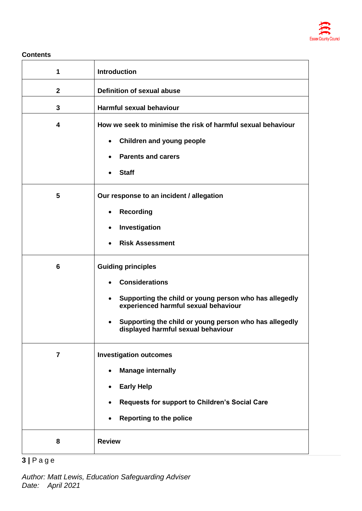

#### **Contents**

| 1               | <b>Introduction</b>                                                                                                                                                                                                                                                            |
|-----------------|--------------------------------------------------------------------------------------------------------------------------------------------------------------------------------------------------------------------------------------------------------------------------------|
| $\mathbf{2}$    | Definition of sexual abuse                                                                                                                                                                                                                                                     |
| $\mathbf{3}$    | Harmful sexual behaviour                                                                                                                                                                                                                                                       |
| 4               | How we seek to minimise the risk of harmful sexual behaviour<br><b>Children and young people</b><br>$\bullet$<br><b>Parents and carers</b><br><b>Staff</b>                                                                                                                     |
| 5               | Our response to an incident / allegation<br><b>Recording</b><br>Investigation<br>$\bullet$<br><b>Risk Assessment</b>                                                                                                                                                           |
| $6\phantom{1}6$ | <b>Guiding principles</b><br><b>Considerations</b><br>$\bullet$<br>Supporting the child or young person who has allegedly<br>$\bullet$<br>experienced harmful sexual behaviour<br>Supporting the child or young person who has allegedly<br>displayed harmful sexual behaviour |
| $\overline{7}$  | <b>Investigation outcomes</b><br><b>Manage internally</b><br><b>Early Help</b><br>Requests for support to Children's Social Care<br><b>Reporting to the police</b>                                                                                                             |
| 8               | <b>Review</b>                                                                                                                                                                                                                                                                  |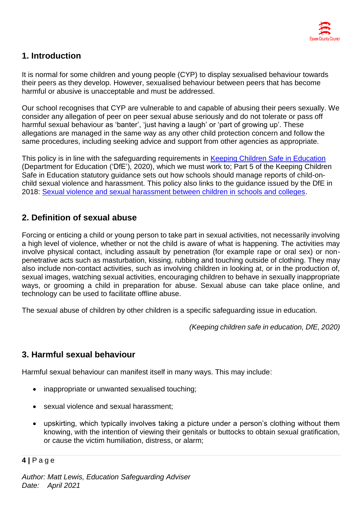# **1. Introduction**

It is normal for some children and young people (CYP) to display sexualised behaviour towards their peers as they develop. However, sexualised behaviour between peers that has become harmful or abusive is unacceptable and must be addressed.

Our school recognises that CYP are vulnerable to and capable of abusing their peers sexually. We consider any allegation of peer on peer sexual abuse seriously and do not tolerate or pass off harmful sexual behaviour as 'banter', 'just having a laugh' or 'part of growing up'. These allegations are managed in the same way as any other child protection concern and follow the same procedures, including seeking advice and support from other agencies as appropriate.

This policy is in line with the safeguarding requirements in [Keeping Children Safe in Education](https://eur02.safelinks.protection.outlook.com/?url=https%3A%2F%2Fassets.publishing.service.gov.uk%2Fgovernment%2Fuploads%2Fsystem%2Fuploads%2Fattachment_data%2Ffile%2F954314%2FKeeping_children_safe_in_education_2020_-_Update_-_January_2021.pdf&data=04%7C01%7C%7Cf2e9fff87b2149eb72d208d8fe84ac80%7Ca8b4324f155c4215a0f17ed8cc9a992f%7C0%7C0%7C637539193225028841%7CUnknown%7CTWFpbGZsb3d8eyJWIjoiMC4wLjAwMDAiLCJQIjoiV2luMzIiLCJBTiI6Ik1haWwiLCJXVCI6Mn0%3D%7C1000&sdata=VnfJGiVrh%2BweNNu%2BiwjdcWv8RJzWF6EvSn1d8NGC7oE%3D&reserved=0) (Department for Education ('DfE'), 2020), which we must work to; Part 5 of the Keeping Children Safe in Education statutory guidance sets out how schools should manage reports of child-onchild sexual violence and harassment. This policy also links to the guidance issued by the DfE in 2018: [Sexual violence and sexual harassment between children in schools and colleges.](https://eur02.safelinks.protection.outlook.com/?url=https%3A%2F%2Fwww.gov.uk%2Fgovernment%2Fpublications%2Fsexual-violence-and-sexual-harassment-between-children-in-schools-and-colleges&data=04%7C01%7C%7Cf2e9fff87b2149eb72d208d8fe84ac80%7Ca8b4324f155c4215a0f17ed8cc9a992f%7C0%7C0%7C637539193225038798%7CUnknown%7CTWFpbGZsb3d8eyJWIjoiMC4wLjAwMDAiLCJQIjoiV2luMzIiLCJBTiI6Ik1haWwiLCJXVCI6Mn0%3D%7C1000&sdata=ZYrHV9%2FJUndIMjNVX505sSFT9UICMSs637uOd9Oag4Q%3D&reserved=0)

# **2. Definition of sexual abuse**

Forcing or enticing a child or young person to take part in sexual activities, not necessarily involving a high level of violence, whether or not the child is aware of what is happening. The activities may involve physical contact, including assault by penetration (for example rape or oral sex) or nonpenetrative acts such as masturbation, kissing, rubbing and touching outside of clothing. They may also include non-contact activities, such as involving children in looking at, or in the production of, sexual images, watching sexual activities, encouraging children to behave in sexually inappropriate ways, or grooming a child in preparation for abuse. Sexual abuse can take place online, and technology can be used to facilitate offline abuse.

The sexual abuse of children by other children is a specific safeguarding issue in education.

*(Keeping children safe in education, DfE, 2020)*

# **3. Harmful sexual behaviour**

Harmful sexual behaviour can manifest itself in many ways. This may include:

- inappropriate or unwanted sexualised touching;
- sexual violence and sexual harassment;
- upskirting, which typically involves taking a picture under a person's clothing without them knowing, with the intention of viewing their genitals or buttocks to obtain sexual gratification, or cause the victim humiliation, distress, or alarm;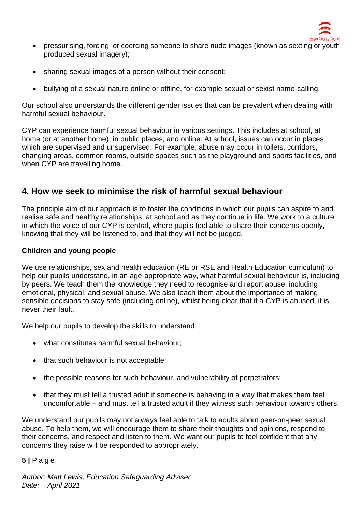

- pressurising, forcing, or coercing someone to share nude images (known as sexting or youth produced sexual imagery);
- sharing sexual images of a person without their consent:
- bullying of a sexual nature online or offline, for example sexual or sexist name-calling.

Our school also understands the different gender issues that can be prevalent when dealing with harmful sexual behaviour.

CYP can experience harmful sexual behaviour in various settings. This includes at school, at home (or at another home), in public places, and online. At school, issues can occur in places which are supervised and unsupervised. For example, abuse may occur in toilets, corridors, changing areas, common rooms, outside spaces such as the playground and sports facilities, and when CYP are travelling home.

# **4. How we seek to minimise the risk of harmful sexual behaviour**

The principle aim of our approach is to foster the conditions in which our pupils can aspire to and realise safe and healthy relationships, at school and as they continue in life. We work to a culture in which the voice of our CYP is central, where pupils feel able to share their concerns openly, knowing that they will be listened to, and that they will not be judged.

### **Children and young people**

We use relationships, sex and health education (RE or RSE and Health Education curriculum) to help our pupils understand, in an age-appropriate way, what harmful sexual behaviour is, including by peers. We teach them the knowledge they need to recognise and report abuse, including emotional, physical, and sexual abuse. We also teach them about the importance of making sensible decisions to stay safe (including online), whilst being clear that if a CYP is abused, it is never their fault.

We help our pupils to develop the skills to understand:

- what constitutes harmful sexual behaviour;
- that such behaviour is not acceptable;
- the possible reasons for such behaviour, and vulnerability of perpetrators;
- that they must tell a trusted adult if someone is behaving in a way that makes them feel uncomfortable – and must tell a trusted adult if they witness such behaviour towards others.

We understand our pupils may not always feel able to talk to adults about peer-on-peer sexual abuse. To help them, we will encourage them to share their thoughts and opinions, respond to their concerns, and respect and listen to them. We want our pupils to feel confident that any concerns they raise will be responded to appropriately.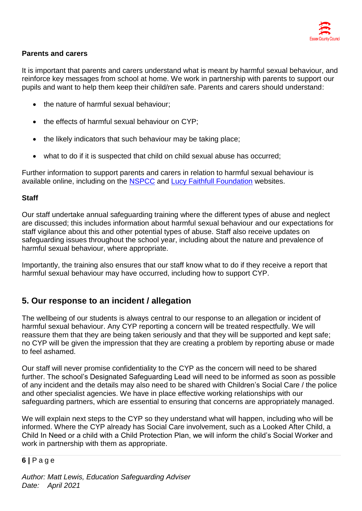

## **Parents and carers**

It is important that parents and carers understand what is meant by harmful sexual behaviour, and reinforce key messages from school at home. We work in partnership with parents to support our pupils and want to help them keep their child/ren safe. Parents and carers should understand:

- the nature of harmful sexual behaviour;
- the effects of harmful sexual behaviour on CYP;
- the likely indicators that such behaviour may be taking place;
- what to do if it is suspected that child on child sexual abuse has occurred;

Further information to support parents and carers in relation to harmful sexual behaviour is available online, including on the [NSPCC](https://www.nspcc.org.uk/what-is-child-abuse/types-of-abuse/child-sexual-abuse/#support) and [Lucy Faithfull Foundation](https://www.lucyfaithfull.org.uk/parents-protect.htm) websites.

## **Staff**

Our staff undertake annual safeguarding training where the different types of abuse and neglect are discussed; this includes information about harmful sexual behaviour and our expectations for staff vigilance about this and other potential types of abuse. Staff also receive updates on safeguarding issues throughout the school year, including about the nature and prevalence of harmful sexual behaviour, where appropriate.

Importantly, the training also ensures that our staff know what to do if they receive a report that harmful sexual behaviour may have occurred, including how to support CYP.

# **5. Our response to an incident / allegation**

The wellbeing of our students is always central to our response to an allegation or incident of harmful sexual behaviour. Any CYP reporting a concern will be treated respectfully. We will reassure them that they are being taken seriously and that they will be supported and kept safe; no CYP will be given the impression that they are creating a problem by reporting abuse or made to feel ashamed.

Our staff will never promise confidentiality to the CYP as the concern will need to be shared further. The school's Designated Safeguarding Lead will need to be informed as soon as possible of any incident and the details may also need to be shared with Children's Social Care / the police and other specialist agencies. We have in place effective working relationships with our safeguarding partners, which are essential to ensuring that concerns are appropriately managed.

We will explain next steps to the CYP so they understand what will happen, including who will be informed. Where the CYP already has Social Care involvement, such as a Looked After Child, a Child In Need or a child with a Child Protection Plan, we will inform the child's Social Worker and work in partnership with them as appropriate.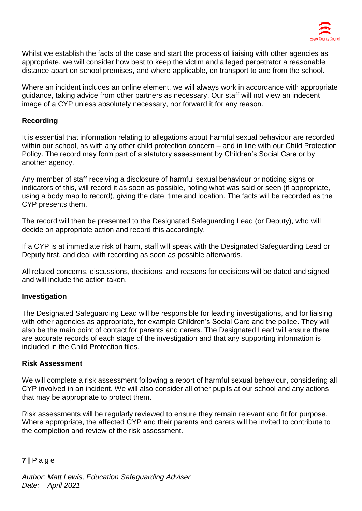

Whilst we establish the facts of the case and start the process of liaising with other agencies as appropriate, we will consider how best to keep the victim and alleged perpetrator a reasonable distance apart on school premises, and where applicable, on transport to and from the school.

Where an incident includes an online element, we will always work in accordance with appropriate guidance, taking advice from other partners as necessary. Our staff will not view an indecent image of a CYP unless absolutely necessary, nor forward it for any reason.

### **Recording**

It is essential that information relating to allegations about harmful sexual behaviour are recorded within our school, as with any other child protection concern – and in line with our Child Protection Policy. The record may form part of a statutory assessment by Children's Social Care or by another agency.

Any member of staff receiving a disclosure of harmful sexual behaviour or noticing signs or indicators of this, will record it as soon as possible, noting what was said or seen (if appropriate, using a body map to record), giving the date, time and location. The facts will be recorded as the CYP presents them.

The record will then be presented to the Designated Safeguarding Lead (or Deputy), who will decide on appropriate action and record this accordingly.

If a CYP is at immediate risk of harm, staff will speak with the Designated Safeguarding Lead or Deputy first, and deal with recording as soon as possible afterwards.

All related concerns, discussions, decisions, and reasons for decisions will be dated and signed and will include the action taken.

### **Investigation**

The Designated Safeguarding Lead will be responsible for leading investigations, and for liaising with other agencies as appropriate, for example Children's Social Care and the police. They will also be the main point of contact for parents and carers. The Designated Lead will ensure there are accurate records of each stage of the investigation and that any supporting information is included in the Child Protection files.

### **Risk Assessment**

We will complete a risk assessment following a report of harmful sexual behaviour, considering all CYP involved in an incident. We will also consider all other pupils at our school and any actions that may be appropriate to protect them.

Risk assessments will be regularly reviewed to ensure they remain relevant and fit for purpose. Where appropriate, the affected CYP and their parents and carers will be invited to contribute to the completion and review of the risk assessment.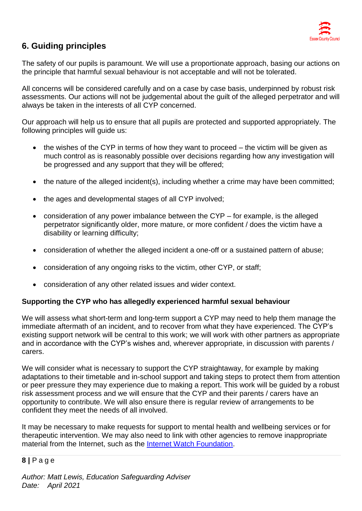

# **6. Guiding principles**

The safety of our pupils is paramount. We will use a proportionate approach, basing our actions on the principle that harmful sexual behaviour is not acceptable and will not be tolerated.

All concerns will be considered carefully and on a case by case basis, underpinned by robust risk assessments. Our actions will not be judgemental about the guilt of the alleged perpetrator and will always be taken in the interests of all CYP concerned.

Our approach will help us to ensure that all pupils are protected and supported appropriately. The following principles will guide us:

- the wishes of the CYP in terms of how they want to proceed the victim will be given as much control as is reasonably possible over decisions regarding how any investigation will be progressed and any support that they will be offered;
- the nature of the alleged incident(s), including whether a crime may have been committed;
- the ages and developmental stages of all CYP involved;
- consideration of any power imbalance between the CYP for example, is the alleged perpetrator significantly older, more mature, or more confident / does the victim have a disability or learning difficulty;
- consideration of whether the alleged incident a one-off or a sustained pattern of abuse;
- consideration of any ongoing risks to the victim, other CYP, or staff;
- consideration of any other related issues and wider context.

### **Supporting the CYP who has allegedly experienced harmful sexual behaviour**

We will assess what short-term and long-term support a CYP may need to help them manage the immediate aftermath of an incident, and to recover from what they have experienced. The CYP's existing support network will be central to this work; we will work with other partners as appropriate and in accordance with the CYP's wishes and, wherever appropriate, in discussion with parents / carers.

We will consider what is necessary to support the CYP straightaway, for example by making adaptations to their timetable and in-school support and taking steps to protect them from attention or peer pressure they may experience due to making a report. This work will be guided by a robust risk assessment process and we will ensure that the CYP and their parents / carers have an opportunity to contribute. We will also ensure there is regular review of arrangements to be confident they meet the needs of all involved.

It may be necessary to make requests for support to mental health and wellbeing services or for therapeutic intervention. We may also need to link with other agencies to remove inappropriate material from the Internet, such as the [Internet Watch Foundation.](https://www.iwf.org.uk/)

## **8 |** P a g e

*Author: Matt Lewis, Education Safeguarding Adviser Date: April 2021*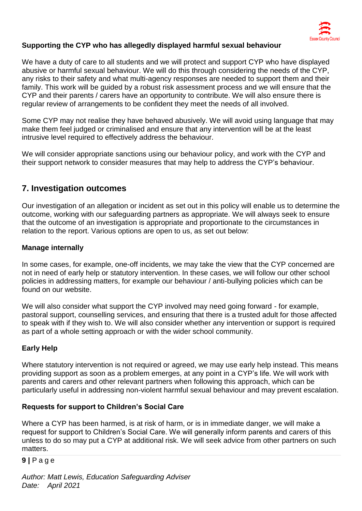

# **Supporting the CYP who has allegedly displayed harmful sexual behaviour**

We have a duty of care to all students and we will protect and support CYP who have displayed abusive or harmful sexual behaviour. We will do this through considering the needs of the CYP, any risks to their safety and what multi-agency responses are needed to support them and their family. This work will be guided by a robust risk assessment process and we will ensure that the CYP and their parents / carers have an opportunity to contribute. We will also ensure there is regular review of arrangements to be confident they meet the needs of all involved.

Some CYP may not realise they have behaved abusively. We will avoid using language that may make them feel judged or criminalised and ensure that any intervention will be at the least intrusive level required to effectively address the behaviour.

We will consider appropriate sanctions using our behaviour policy, and work with the CYP and their support network to consider measures that may help to address the CYP's behaviour.

# **7. Investigation outcomes**

Our investigation of an allegation or incident as set out in this policy will enable us to determine the outcome, working with our safeguarding partners as appropriate. We will always seek to ensure that the outcome of an investigation is appropriate and proportionate to the circumstances in relation to the report. Various options are open to us, as set out below:

## **Manage internally**

In some cases, for example, one-off incidents, we may take the view that the CYP concerned are not in need of early help or statutory intervention. In these cases, we will follow our other school policies in addressing matters, for example our behaviour / anti-bullying policies which can be found on our website.

We will also consider what support the CYP involved may need going forward - for example, pastoral support, counselling services, and ensuring that there is a trusted adult for those affected to speak with if they wish to. We will also consider whether any intervention or support is required as part of a whole setting approach or with the wider school community.

## **Early Help**

Where statutory intervention is not required or agreed, we may use early help instead. This means providing support as soon as a problem emerges, at any point in a CYP's life. We will work with parents and carers and other relevant partners when following this approach, which can be particularly useful in addressing non-violent harmful sexual behaviour and may prevent escalation.

### **Requests for support to Children's Social Care**

Where a CYP has been harmed, is at risk of harm, or is in immediate danger, we will make a request for support to Children's Social Care. We will generally inform parents and carers of this unless to do so may put a CYP at additional risk. We will seek advice from other partners on such matters.

### **9 |** P a g e

*Author: Matt Lewis, Education Safeguarding Adviser Date: April 2021*